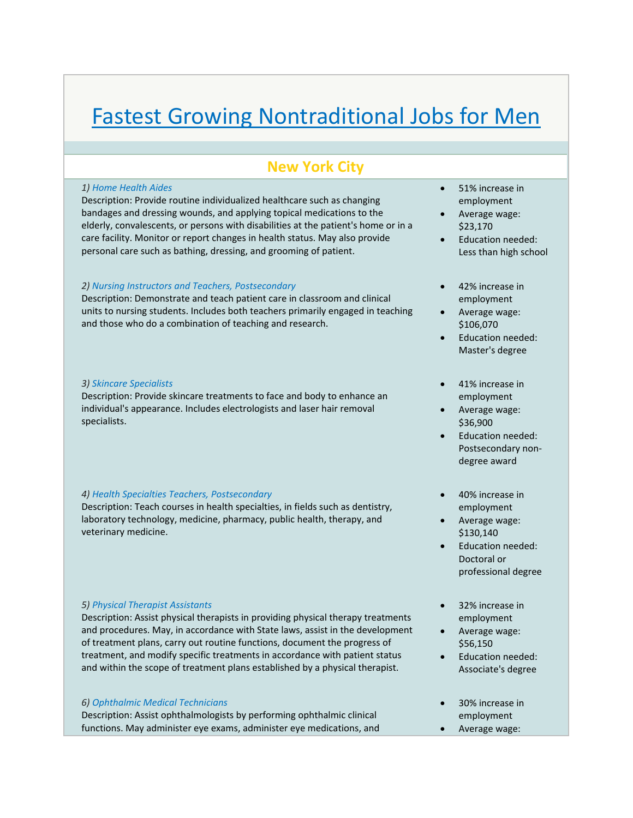# Fastest Growing Nontraditional Jobs for Men

## **New York City**

#### *1) Home Health Aides*

Description: Provide routine individualized healthcare such as changing bandages and dressing wounds, and applying topical medications to the elderly, convalescents, or persons with disabilities at the patient's home or in a care facility. Monitor or report changes in health status. May also provide personal care such as bathing, dressing, and grooming of patient.

### *2) Nursing Instructors and Teachers, Postsecondary*

Description: Demonstrate and teach patient care in classroom and clinical units to nursing students. Includes both teachers primarily engaged in teaching and those who do a combination of teaching and research.

#### *3) Skincare Specialists*

Description: Provide skincare treatments to face and body to enhance an individual's appearance. Includes electrologists and laser hair removal specialists.

#### *4) Health Specialties Teachers, Postsecondary*

Description: Teach courses in health specialties, in fields such as dentistry, laboratory technology, medicine, pharmacy, public health, therapy, and veterinary medicine.

#### *5) Physical Therapist Assistants*

Description: Assist physical therapists in providing physical therapy treatments and procedures. May, in accordance with State laws, assist in the development of treatment plans, carry out routine functions, document the progress of treatment, and modify specific treatments in accordance with patient status and within the scope of treatment plans established by a physical therapist.

#### *6) Ophthalmic Medical Technicians*

Description: Assist ophthalmologists by performing ophthalmic clinical functions. May administer eye exams, administer eye medications, and

- 51% increase in employment
- Average wage: \$23,170
- Education needed: Less than high school
- 42% increase in employment
- Average wage: \$106,070
- Education needed: Master's degree
- 41% increase in employment
- Average wage: \$36,900
- Education needed: Postsecondary non‐ degree award
- 40% increase in employment
- Average wage: \$130,140
- Education needed: Doctoral or professional degree
- 32% increase in employment
- Average wage: \$56,150
- Education needed: Associate's degree
- 30% increase in employment
- Average wage: